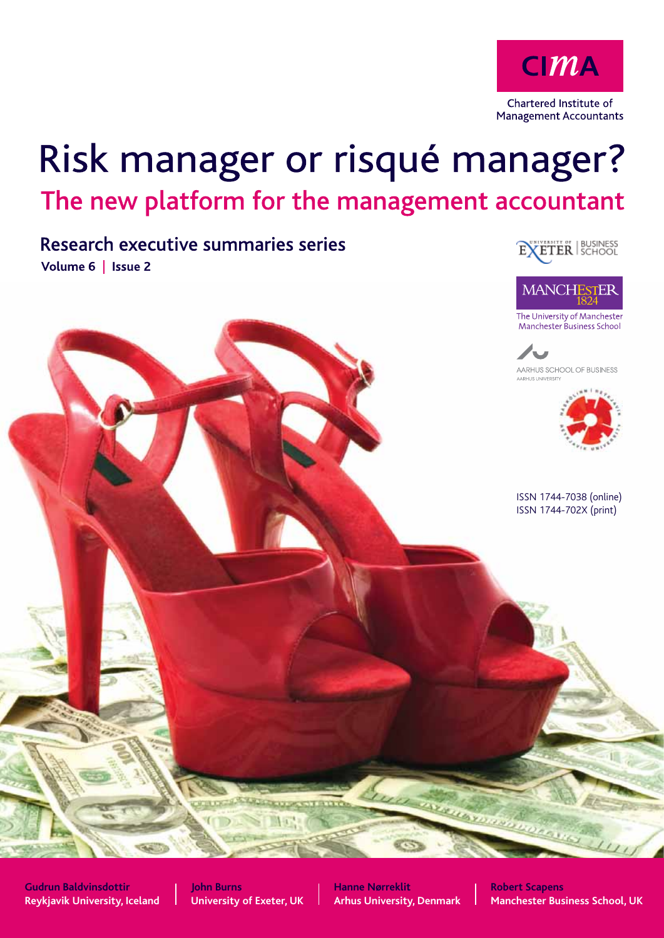

# Risk manager or risqué manager? The new platform for the management accountant

Research executive summaries series Volume 6 | Issue 2





The University of Manchester Manchester Business School





ISSN 1744-7038 (online) ISSN 1744-702X (print)

**Gudrun Baldvinsdottir Reykjavik University, Iceland**

**John Burns University of Exeter, UK** **Hanne Nørreklit Arhus University, Denmark** **Robert Scapens Manchester Business School, UK**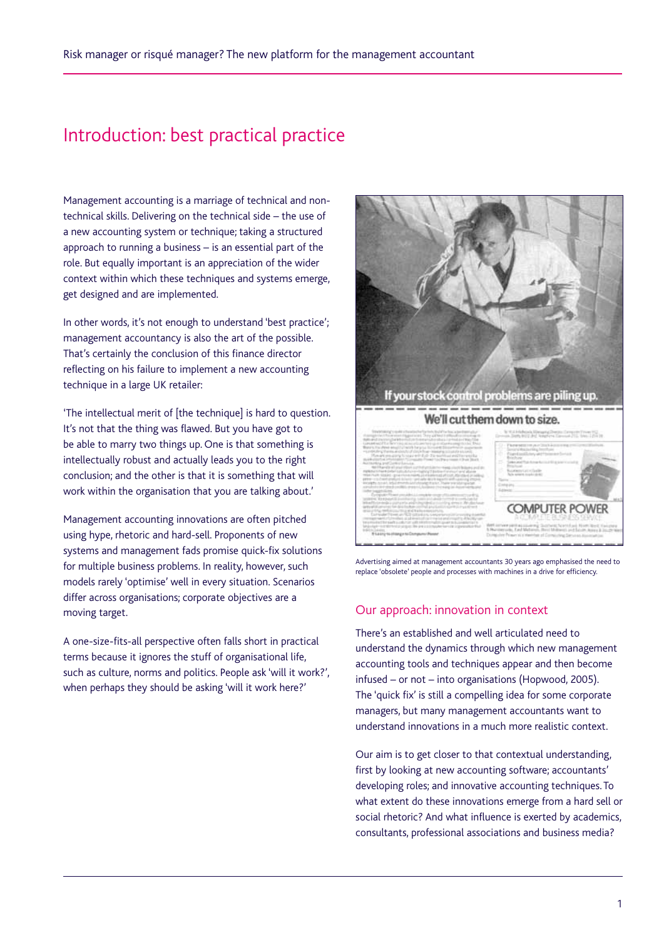# Introduction: best practical practice

Management accounting is a marriage of technical and nontechnical skills. Delivering on the technical side – the use of a new accounting system or technique; taking a structured approach to running a business – is an essential part of the role. But equally important is an appreciation of the wider context within which these techniques and systems emerge, get designed and are implemented.

In other words, it's not enough to understand 'best practice'; management accountancy is also the art of the possible. That's certainly the conclusion of this finance director reflecting on his failure to implement a new accounting technique in a large UK retailer:

'The intellectual merit of [the technique] is hard to question. It's not that the thing was flawed. But you have got to be able to marry two things up. One is that something is intellectually robust and actually leads you to the right conclusion; and the other is that it is something that will work within the organisation that you are talking about.'

Management accounting innovations are often pitched using hype, rhetoric and hard-sell. Proponents of new systems and management fads promise quick-fix solutions for multiple business problems. In reality, however, such models rarely 'optimise' well in every situation. Scenarios differ across organisations; corporate objectives are a moving target.

A one-size-fits-all perspective often falls short in practical terms because it ignores the stuff of organisational life, such as culture, norms and politics. People ask 'will it work?', when perhaps they should be asking 'will it work here?'



Advertising aimed at management accountants 30 years ago emphasised the need to replace 'obsolete' people and processes with machines in a drive for efficiency.

#### Our approach: innovation in context

There's an established and well articulated need to understand the dynamics through which new management accounting tools and techniques appear and then become infused – or not – into organisations (Hopwood, 2005). The 'quick fix' is still a compelling idea for some corporate managers, but many management accountants want to understand innovations in a much more realistic context.

Our aim is to get closer to that contextual understanding, first by looking at new accounting software; accountants' developing roles; and innovative accounting techniques. To what extent do these innovations emerge from a hard sell or social rhetoric? And what influence is exerted by academics, consultants, professional associations and business media?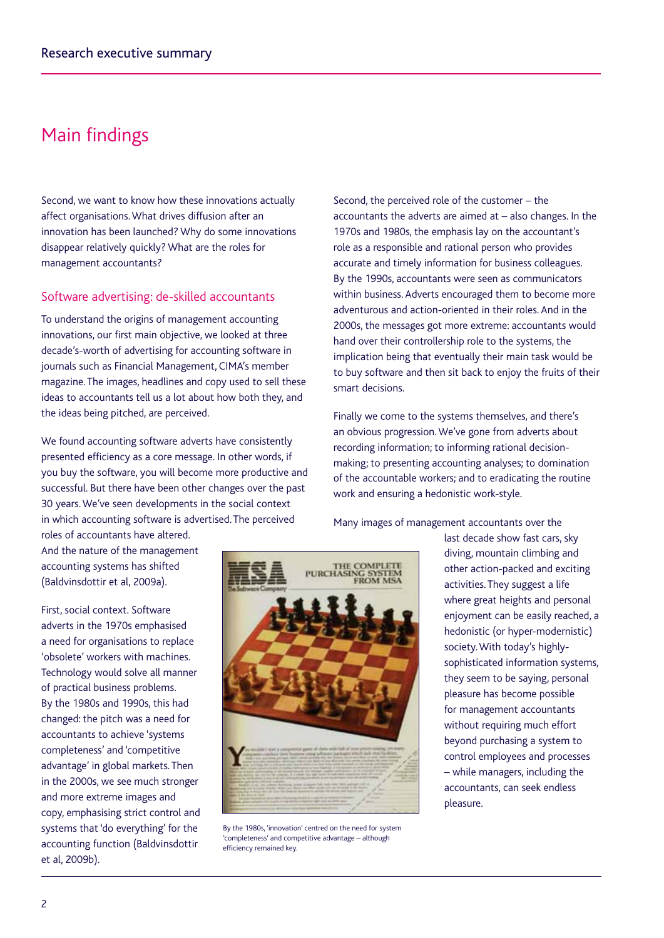# Main findings

Second, we want to know how these innovations actually affect organisations. What drives diffusion after an innovation has been launched? Why do some innovations disappear relatively quickly? What are the roles for management accountants?

#### Software advertising: de-skilled accountants

To understand the origins of management accounting innovations, our first main objective, we looked at three decade's-worth of advertising for accounting software in journals such as Financial Management, CIMA's member magazine. The images, headlines and copy used to sell these ideas to accountants tell us a lot about how both they, and the ideas being pitched, are perceived.

We found accounting software adverts have consistently presented efficiency as a core message. In other words, if you buy the software, you will become more productive and successful. But there have been other changes over the past 30 years. We've seen developments in the social context in which accounting software is advertised. The perceived roles of accountants have altered.

And the nature of the management accounting systems has shifted (Baldvinsdottir et al, 2009a).

First, social context. Software adverts in the 1970s emphasised a need for organisations to replace 'obsolete' workers with machines. Technology would solve all manner of practical business problems. By the 1980s and 1990s, this had changed: the pitch was a need for accountants to achieve 'systems completeness' and 'competitive advantage' in global markets. Then in the 2000s, we see much stronger and more extreme images and copy, emphasising strict control and systems that 'do everything' for the accounting function (Baldvinsdottir et al, 2009b).



By the 1980s, 'innovation' centred on the need for system 'completeness' and competitive advantage – although efficiency remained key.

Second, the perceived role of the customer – the accountants the adverts are aimed at – also changes. In the 1970s and 1980s, the emphasis lay on the accountant's role as a responsible and rational person who provides accurate and timely information for business colleagues. By the 1990s, accountants were seen as communicators within business. Adverts encouraged them to become more adventurous and action-oriented in their roles. And in the 2000s, the messages got more extreme: accountants would hand over their controllership role to the systems, the implication being that eventually their main task would be to buy software and then sit back to enjoy the fruits of their smart decisions.

Finally we come to the systems themselves, and there's an obvious progression. We've gone from adverts about recording information; to informing rational decisionmaking; to presenting accounting analyses; to domination of the accountable workers; and to eradicating the routine work and ensuring a hedonistic work-style.

Many images of management accountants over the

last decade show fast cars, sky diving, mountain climbing and other action-packed and exciting activities. They suggest a life where great heights and personal enjoyment can be easily reached, a hedonistic (or hyper-modernistic) society. With today's highlysophisticated information systems, they seem to be saying, personal pleasure has become possible for management accountants without requiring much effort beyond purchasing a system to control employees and processes – while managers, including the accountants, can seek endless pleasure.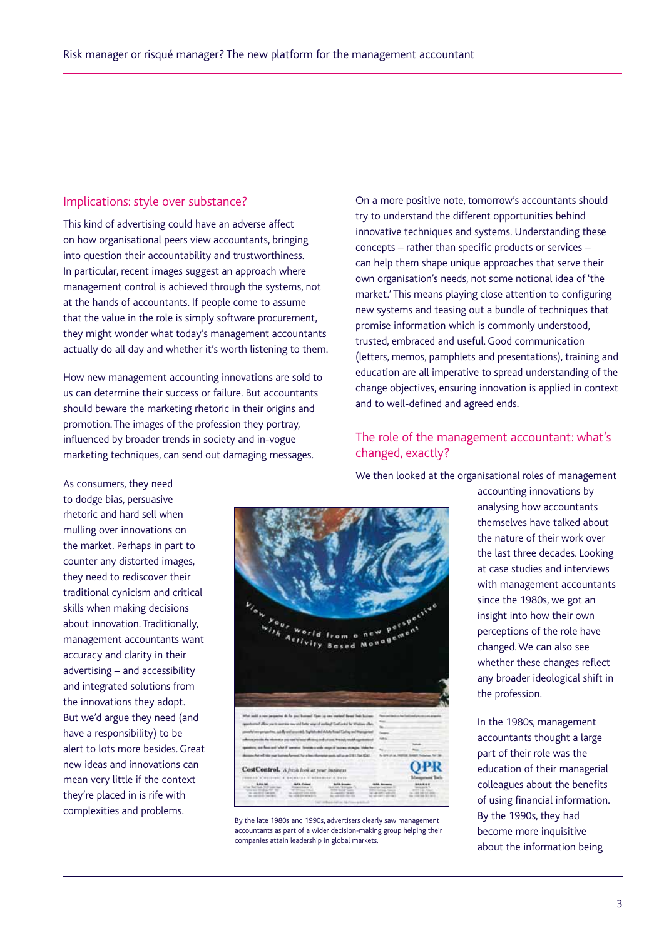#### Implications: style over substance?

This kind of advertising could have an adverse affect on how organisational peers view accountants, bringing into question their accountability and trustworthiness. In particular, recent images suggest an approach where management control is achieved through the systems, not at the hands of accountants. If people come to assume that the value in the role is simply software procurement, they might wonder what today's management accountants actually do all day and whether it's worth listening to them.

How new management accounting innovations are sold to us can determine their success or failure. But accountants should beware the marketing rhetoric in their origins and promotion. The images of the profession they portray, influenced by broader trends in society and in-vogue marketing techniques, can send out damaging messages.

On a more positive note, tomorrow's accountants should try to understand the different opportunities behind innovative techniques and systems. Understanding these concepts – rather than specific products or services – can help them shape unique approaches that serve their own organisation's needs, not some notional idea of 'the market.' This means playing close attention to configuring new systems and teasing out a bundle of techniques that promise information which is commonly understood, trusted, embraced and useful. Good communication (letters, memos, pamphlets and presentations), training and education are all imperative to spread understanding of the change objectives, ensuring innovation is applied in context and to well-defined and agreed ends.

## The role of the management accountant: what's changed, exactly?

We then looked at the organisational roles of management

As consumers, they need to dodge bias, persuasive rhetoric and hard sell when mulling over innovations on the market. Perhaps in part to counter any distorted images, they need to rediscover their traditional cynicism and critical skills when making decisions about innovation. Traditionally, management accountants want accuracy and clarity in their advertising – and accessibility and integrated solutions from the innovations they adopt. But we'd argue they need (and have a responsibility) to be alert to lots more besides. Great new ideas and innovations can mean very little if the context they're placed in is rife with complexities and problems.



By the late 1980s and 1990s, advertisers clearly saw management accountants as part of a wider decision-making group helping their companies attain leadership in global markets.

**OPR** 

accounting innovations by analysing how accountants themselves have talked about the nature of their work over the last three decades. Looking at case studies and interviews with management accountants since the 1980s, we got an insight into how their own perceptions of the role have changed. We can also see whether these changes reflect any broader ideological shift in the profession.

In the 1980s, management accountants thought a large part of their role was the education of their managerial colleagues about the benefits of using financial information. By the 1990s, they had become more inquisitive about the information being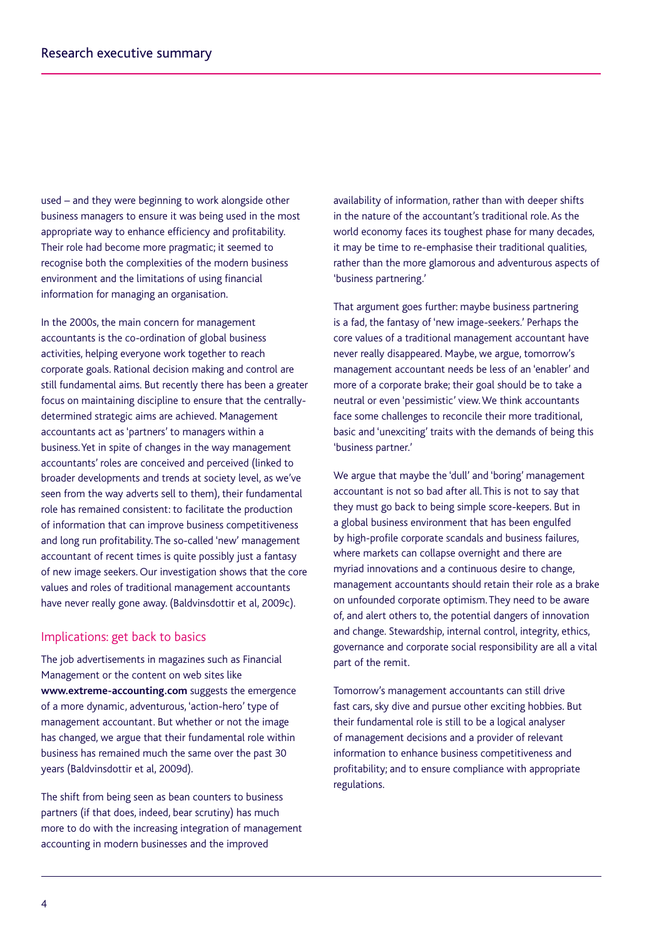used – and they were beginning to work alongside other business managers to ensure it was being used in the most appropriate way to enhance efficiency and profitability. Their role had become more pragmatic; it seemed to recognise both the complexities of the modern business environment and the limitations of using financial information for managing an organisation.

In the 2000s, the main concern for management accountants is the co-ordination of global business activities, helping everyone work together to reach corporate goals. Rational decision making and control are still fundamental aims. But recently there has been a greater focus on maintaining discipline to ensure that the centrallydetermined strategic aims are achieved. Management accountants act as 'partners' to managers within a business. Yet in spite of changes in the way management accountants' roles are conceived and perceived (linked to broader developments and trends at society level, as we've seen from the way adverts sell to them), their fundamental role has remained consistent: to facilitate the production of information that can improve business competitiveness and long run profitability. The so-called 'new' management accountant of recent times is quite possibly just a fantasy of new image seekers. Our investigation shows that the core values and roles of traditional management accountants have never really gone away. (Baldvinsdottir et al, 2009c).

#### Implications: get back to basics

The job advertisements in magazines such as Financial Management or the content on web sites like **www.extreme-accounting.com** suggests the emergence of a more dynamic, adventurous, 'action-hero' type of management accountant. But whether or not the image has changed, we argue that their fundamental role within business has remained much the same over the past 30 years (Baldvinsdottir et al, 2009d).

The shift from being seen as bean counters to business partners (if that does, indeed, bear scrutiny) has much more to do with the increasing integration of management accounting in modern businesses and the improved

availability of information, rather than with deeper shifts in the nature of the accountant's traditional role. As the world economy faces its toughest phase for many decades, it may be time to re-emphasise their traditional qualities, rather than the more glamorous and adventurous aspects of 'business partnering.'

That argument goes further: maybe business partnering is a fad, the fantasy of 'new image-seekers.' Perhaps the core values of a traditional management accountant have never really disappeared. Maybe, we argue, tomorrow's management accountant needs be less of an 'enabler' and more of a corporate brake; their goal should be to take a neutral or even 'pessimistic' view. We think accountants face some challenges to reconcile their more traditional, basic and 'unexciting' traits with the demands of being this 'business partner.'

We argue that maybe the 'dull' and 'boring' management accountant is not so bad after all. This is not to say that they must go back to being simple score-keepers. But in a global business environment that has been engulfed by high-profile corporate scandals and business failures, where markets can collapse overnight and there are myriad innovations and a continuous desire to change, management accountants should retain their role as a brake on unfounded corporate optimism. They need to be aware of, and alert others to, the potential dangers of innovation and change. Stewardship, internal control, integrity, ethics, governance and corporate social responsibility are all a vital part of the remit.

Tomorrow's management accountants can still drive fast cars, sky dive and pursue other exciting hobbies. But their fundamental role is still to be a logical analyser of management decisions and a provider of relevant information to enhance business competitiveness and profitability; and to ensure compliance with appropriate regulations.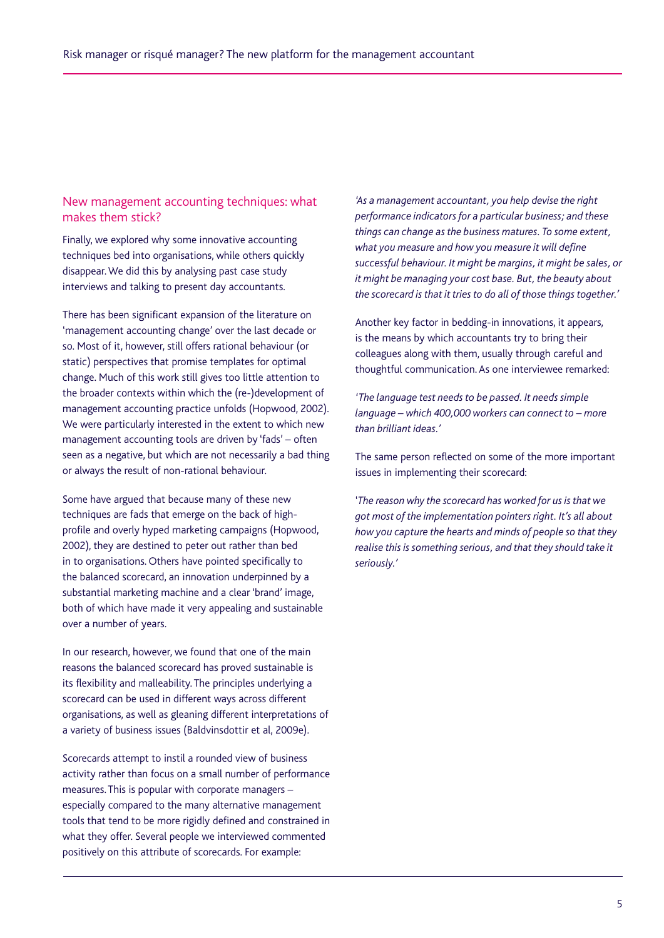# New management accounting techniques: what makes them stick?

Finally, we explored why some innovative accounting techniques bed into organisations, while others quickly disappear. We did this by analysing past case study interviews and talking to present day accountants.

There has been significant expansion of the literature on 'management accounting change' over the last decade or so. Most of it, however, still offers rational behaviour (or static) perspectives that promise templates for optimal change. Much of this work still gives too little attention to the broader contexts within which the (re-)development of management accounting practice unfolds (Hopwood, 2002). We were particularly interested in the extent to which new management accounting tools are driven by 'fads' – often seen as a negative, but which are not necessarily a bad thing or always the result of non-rational behaviour.

Some have argued that because many of these new techniques are fads that emerge on the back of highprofile and overly hyped marketing campaigns (Hopwood, 2002), they are destined to peter out rather than bed in to organisations. Others have pointed specifically to the balanced scorecard, an innovation underpinned by a substantial marketing machine and a clear 'brand' image, both of which have made it very appealing and sustainable over a number of years.

In our research, however, we found that one of the main reasons the balanced scorecard has proved sustainable is its flexibility and malleability. The principles underlying a scorecard can be used in different ways across different organisations, as well as gleaning different interpretations of a variety of business issues (Baldvinsdottir et al, 2009e).

Scorecards attempt to instil a rounded view of business activity rather than focus on a small number of performance measures. This is popular with corporate managers – especially compared to the many alternative management tools that tend to be more rigidly defined and constrained in what they offer. Several people we interviewed commented positively on this attribute of scorecards. For example:

*'As a management accountant, you help devise the right performance indicators for a particular business; and these things can change as the business matures. To some extent, what you measure and how you measure it will define successful behaviour. It might be margins, it might be sales, or it might be managing your cost base. But, the beauty about the scorecard is that it tries to do all of those things together.'*

Another key factor in bedding-in innovations, it appears, is the means by which accountants try to bring their colleagues along with them, usually through careful and thoughtful communication. As one interviewee remarked:

*'The language test needs to be passed. It needs simple language – which 400,000 workers can connect to – more than brilliant ideas.'*

The same person reflected on some of the more important issues in implementing their scorecard:

'*The reason why the scorecard has worked for us is that we got most of the implementation pointers right. It's all about how you capture the hearts and minds of people so that they realise this is something serious, and that they should take it seriously.'*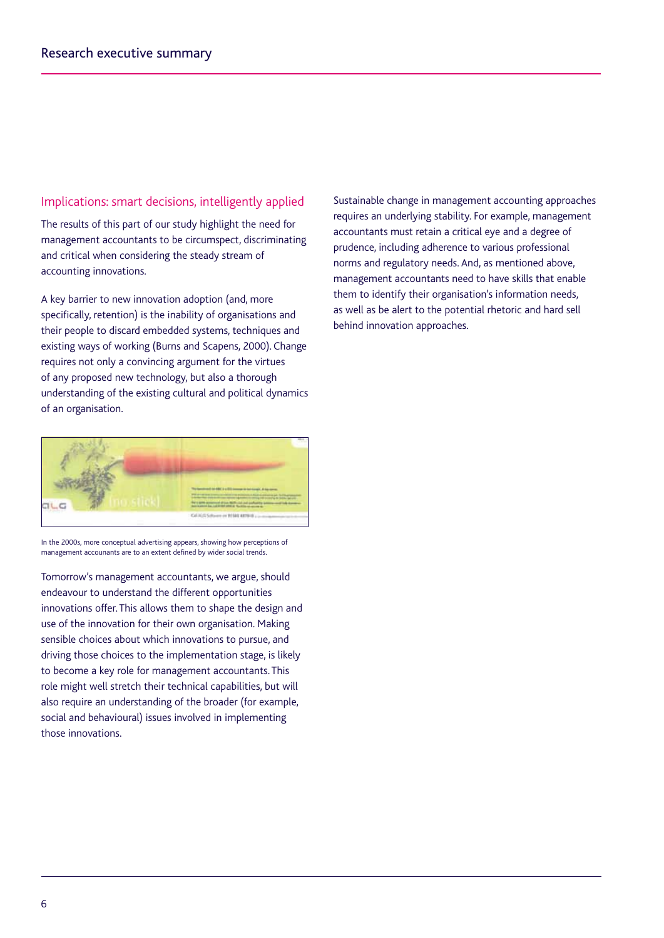## Implications: smart decisions, intelligently applied

The results of this part of our study highlight the need for management accountants to be circumspect, discriminating and critical when considering the steady stream of accounting innovations.

A key barrier to new innovation adoption (and, more specifically, retention) is the inability of organisations and their people to discard embedded systems, techniques and existing ways of working (Burns and Scapens, 2000). Change requires not only a convincing argument for the virtues of any proposed new technology, but also a thorough understanding of the existing cultural and political dynamics of an organisation.



In the 2000s, more conceptual advertising appears, showing how perceptions of management accounants are to an extent defined by wider social trends.

Tomorrow's management accountants, we argue, should endeavour to understand the different opportunities innovations offer. This allows them to shape the design and use of the innovation for their own organisation. Making sensible choices about which innovations to pursue, and driving those choices to the implementation stage, is likely to become a key role for management accountants. This role might well stretch their technical capabilities, but will also require an understanding of the broader (for example, social and behavioural) issues involved in implementing those innovations.

Sustainable change in management accounting approaches requires an underlying stability. For example, management accountants must retain a critical eye and a degree of prudence, including adherence to various professional norms and regulatory needs. And, as mentioned above, management accountants need to have skills that enable them to identify their organisation's information needs, as well as be alert to the potential rhetoric and hard sell behind innovation approaches.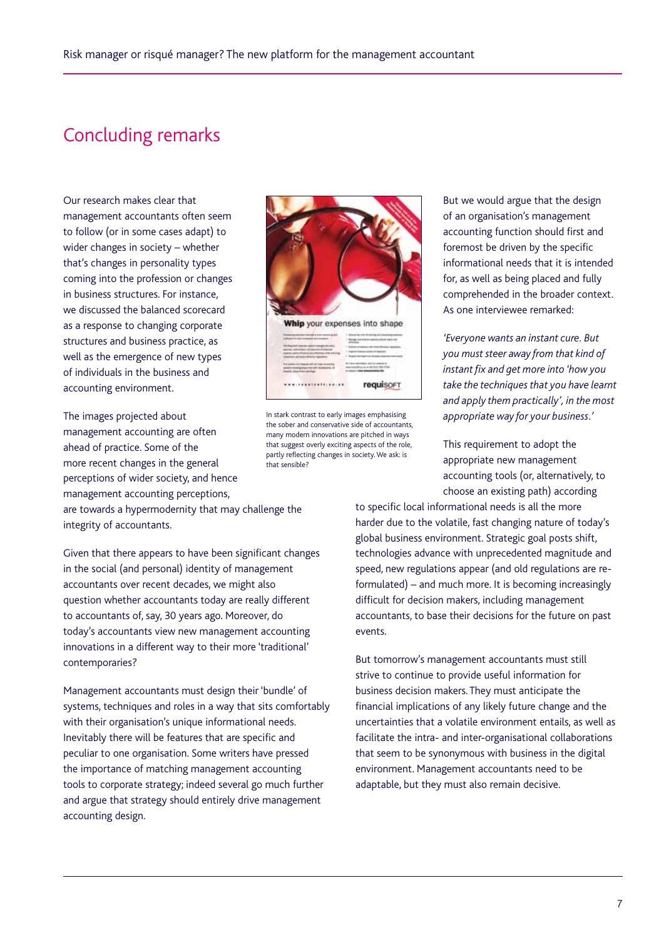# Concluding remarks

Our research makes clear that management accountants often seem to follow (or in some cases adapt) to wider changes in society – whether that's changes in personality types coming into the profession or changes in business structures. For instance, we discussed the balanced scorecard as a response to changing corporate structures and business practice, as well as the emergence of new types of individuals in the business and accounting environment.

The images projected about management accounting are often ahead of practice. Some of the more recent changes in the general perceptions of wider society, and hence management accounting perceptions,

Whip your expenses into shape  $\rightarrow$ **AVAILABLE DE L'ANGUI** requisort

In stark contrast to early images emphasising the sober and conservative side of accountants, many modern innovations are pitched in ways that suggest overly exciting aspects of the role, partly reflecting changes in society. We ask: is that sensible?

But we would argue that the design of an organisation's management accounting function should first and foremost be driven by the specific informational needs that it is intended for, as well as being placed and fully comprehended in the broader context. As one interviewee remarked:

*'Everyone wants an instant cure. But you must steer away from that kind of instant fix and get more into 'how you take the techniques that you have learnt and apply them practically', in the most appropriate way for your business.'*

This requirement to adopt the appropriate new management accounting tools (or, alternatively, to choose an existing path) according

to specific local informational needs is all the more harder due to the volatile, fast changing nature of today's global business environment. Strategic goal posts shift, technologies advance with unprecedented magnitude and speed, new regulations appear (and old regulations are reformulated) – and much more. It is becoming increasingly difficult for decision makers, including management accountants, to base their decisions for the future on past events.

But tomorrow's management accountants must still strive to continue to provide useful information for business decision makers. They must anticipate the financial implications of any likely future change and the uncertainties that a volatile environment entails, as well as facilitate the intra- and inter-organisational collaborations that seem to be synonymous with business in the digital environment. Management accountants need to be adaptable, but they must also remain decisive.

are towards a hypermodernity that may challenge the integrity of accountants.

Given that there appears to have been significant changes in the social (and personal) identity of management accountants over recent decades, we might also question whether accountants today are really different to accountants of, say, 30 years ago. Moreover, do today's accountants view new management accounting innovations in a different way to their more 'traditional' contemporaries?

Management accountants must design their 'bundle' of systems, techniques and roles in a way that sits comfortably with their organisation's unique informational needs. Inevitably there will be features that are specific and peculiar to one organisation. Some writers have pressed the importance of matching management accounting tools to corporate strategy; indeed several go much further and argue that strategy should entirely drive management accounting design.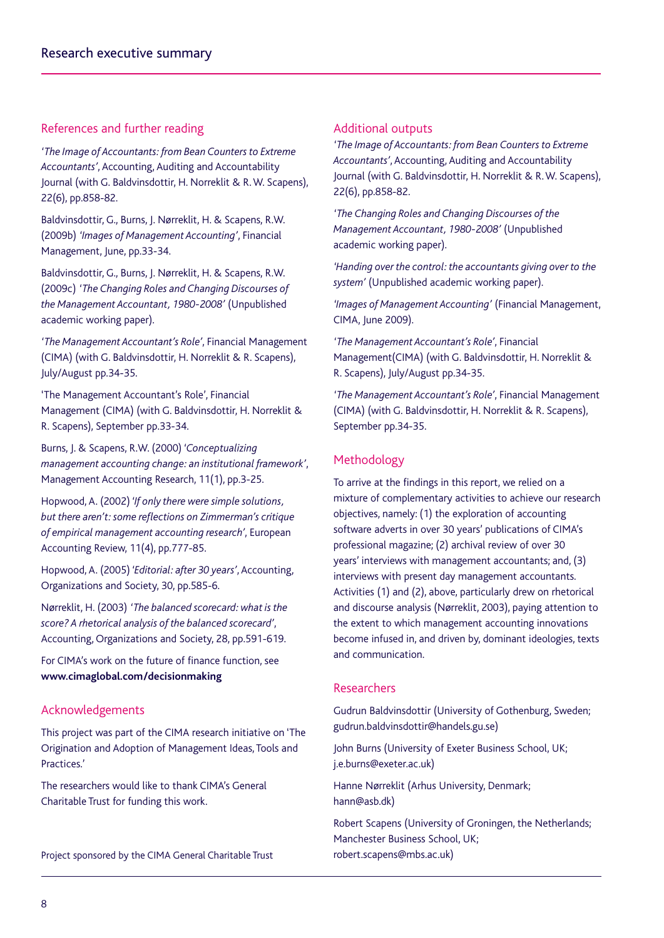# References and further reading

*'The Image of Accountants: from Bean Counters to Extreme Accountants'*, Accounting, Auditing and Accountability Journal (with G. Baldvinsdottir, H. Norreklit & R. W. Scapens), 22(6), pp.858-82.

Baldvinsdottir, G., Burns, J. Nørreklit, H. & Scapens, R.W. (2009b) *'Images of Management Accounting'*, Financial Management, June, pp.33-34.

Baldvinsdottir, G., Burns, J. Nørreklit, H. & Scapens, R.W. (2009c) *'The Changing Roles and Changing Discourses of the Management Accountant, 1980-2008'* (Unpublished academic working paper).

*'The Management Accountant's Role'*, Financial Management (CIMA) (with G. Baldvinsdottir, H. Norreklit & R. Scapens), July/August pp.34-35.

'The Management Accountant's Role', Financial Management (CIMA) (with G. Baldvinsdottir, H. Norreklit & R. Scapens), September pp.33-34.

Burns, J. & Scapens, R.W. (2000) *'Conceptualizing management accounting change: an institutional framework'*, Management Accounting Research, 11(1), pp.3-25.

Hopwood, A. (2002) *'If only there were simple solutions, but there aren't: some reflections on Zimmerman's critique of empirical management accounting research'*, European Accounting Review, 11(4), pp.777-85.

Hopwood, A. (2005) *'Editorial: after 30 years'*, Accounting, Organizations and Society, 30, pp.585-6.

Nørreklit, H. (2003) *'The balanced scorecard: what is the score? A rhetorical analysis of the balanced scorecard'*, Accounting, Organizations and Society, 28, pp.591-619.

For CIMA's work on the future of finance function, see **www.cimaglobal.com/decisionmaking**

# Acknowledgements

This project was part of the CIMA research initiative on 'The Origination and Adoption of Management Ideas, Tools and Practices.'

The researchers would like to thank CIMA's General Charitable Trust for funding this work.

Project sponsored by the CIMA General Charitable Trust

#### Additional outputs

*'The Image of Accountants: from Bean Counters to Extreme Accountants'*, Accounting, Auditing and Accountability Journal (with G. Baldvinsdottir, H. Norreklit & R. W. Scapens), 22(6), pp.858-82.

*'The Changing Roles and Changing Discourses of the Management Accountant, 1980-2008'* (Unpublished academic working paper).

*'Handing over the control: the accountants giving over to the system'* (Unpublished academic working paper).

*'Images of Management Accounting'* (Financial Management, CIMA, June 2009).

*'The Management Accountant's Role'*, Financial Management(CIMA) (with G. Baldvinsdottir, H. Norreklit & R. Scapens), July/August pp.34-35.

*'The Management Accountant's Role'*, Financial Management (CIMA) (with G. Baldvinsdottir, H. Norreklit & R. Scapens), September pp.34-35.

## Methodology

To arrive at the findings in this report, we relied on a mixture of complementary activities to achieve our research objectives, namely: (1) the exploration of accounting software adverts in over 30 years' publications of CIMA's professional magazine; (2) archival review of over 30 years' interviews with management accountants; and, (3) interviews with present day management accountants. Activities (1) and (2), above, particularly drew on rhetorical and discourse analysis (Nørreklit, 2003), paying attention to the extent to which management accounting innovations become infused in, and driven by, dominant ideologies, texts and communication.

#### Researchers

Gudrun Baldvinsdottir (University of Gothenburg, Sweden; gudrun.baldvinsdottir@handels.gu.se)

John Burns (University of Exeter Business School, UK; j.e.burns@exeter.ac.uk)

Hanne Nørreklit (Arhus University, Denmark; hann@asb.dk)

Robert Scapens (University of Groningen, the Netherlands; Manchester Business School, UK; robert.scapens@mbs.ac.uk)